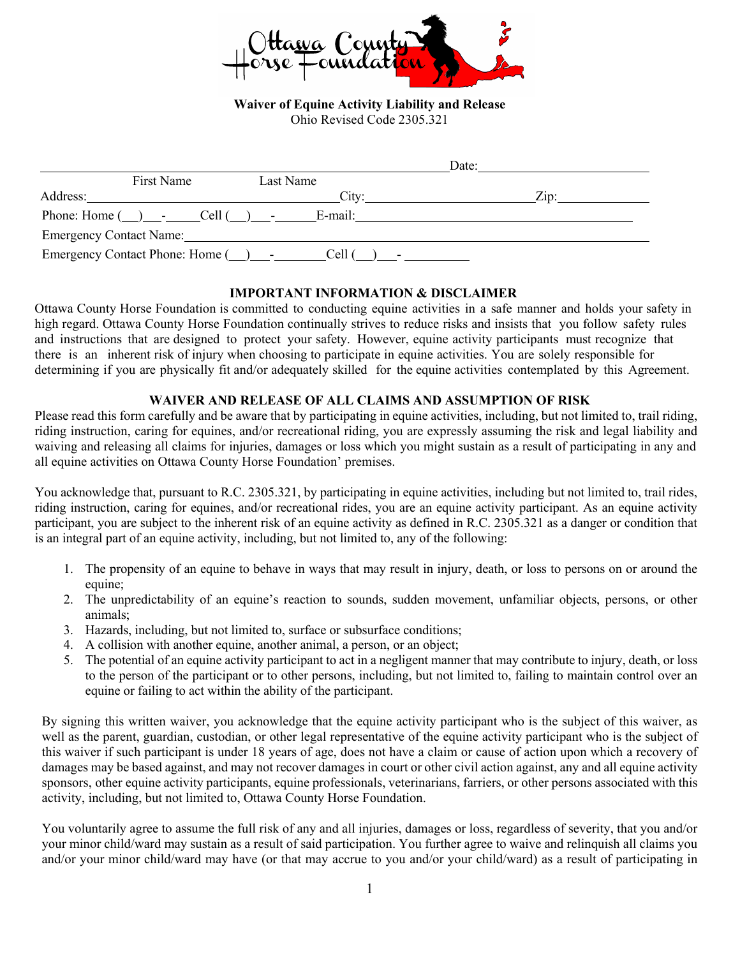

**Waiver of Equine Activity Liability and Release**  Ohio Revised Code 2305.321

|                         |                                                                                                                      |           |       | Date: |                 |
|-------------------------|----------------------------------------------------------------------------------------------------------------------|-----------|-------|-------|-----------------|
|                         | First Name                                                                                                           | Last Name |       |       |                 |
| Address:                | <u> 1980 - Jan Stein Stein Stein Stein Stein Stein Stein Stein Stein Stein Stein Stein Stein Stein Stein Stein S</u> |           | City: |       | $\mathsf{Zip}:$ |
|                         | Phone: Home $(\_)$ - Cell $(\_)$ - E-mail:                                                                           |           |       |       |                 |
| Emergency Contact Name: |                                                                                                                      |           |       |       |                 |
|                         |                                                                                                                      |           |       |       |                 |

## **IMPORTANT INFORMATION & DISCLAIMER**

Ottawa County Horse Foundation is committed to conducting equine activities in a safe manner and holds your safety in high regard. Ottawa County Horse Foundation continually strives to reduce risks and insists that you follow safety rules and instructions that are designed to protect your safety. However, equine activity participants must recognize that there is an inherent risk of injury when choosing to participate in equine activities. You are solely responsible for determining if you are physically fit and/or adequately skilled for the equine activities contemplated by this Agreement.

## **WAIVER AND RELEASE OF ALL CLAIMS AND ASSUMPTION OF RISK**

Please read this form carefully and be aware that by participating in equine activities, including, but not limited to, trail riding, riding instruction, caring for equines, and/or recreational riding, you are expressly assuming the risk and legal liability and waiving and releasing all claims for injuries, damages or loss which you might sustain as a result of participating in any and all equine activities on Ottawa County Horse Foundation' premises.

You acknowledge that, pursuant to R.C. 2305.321, by participating in equine activities, including but not limited to, trail rides, riding instruction, caring for equines, and/or recreational rides, you are an equine activity participant. As an equine activity participant, you are subject to the inherent risk of an equine activity as defined in R.C. 2305.321 as a danger or condition that is an integral part of an equine activity, including, but not limited to, any of the following:

- 1. The propensity of an equine to behave in ways that may result in injury, death, or loss to persons on or around the equine;
- 2. The unpredictability of an equine's reaction to sounds, sudden movement, unfamiliar objects, persons, or other animals;
- 3. Hazards, including, but not limited to, surface or subsurface conditions;
- 4. A collision with another equine, another animal, a person, or an object;
- 5. The potential of an equine activity participant to act in a negligent manner that may contribute to injury, death, or loss to the person of the participant or to other persons, including, but not limited to, failing to maintain control over an equine or failing to act within the ability of the participant.

By signing this written waiver, you acknowledge that the equine activity participant who is the subject of this waiver, as well as the parent, guardian, custodian, or other legal representative of the equine activity participant who is the subject of this waiver if such participant is under 18 years of age, does not have a claim or cause of action upon which a recovery of damages may be based against, and may not recover damages in court or other civil action against, any and all equine activity sponsors, other equine activity participants, equine professionals, veterinarians, farriers, or other persons associated with this activity, including, but not limited to, Ottawa County Horse Foundation.

You voluntarily agree to assume the full risk of any and all injuries, damages or loss, regardless of severity, that you and/or your minor child/ward may sustain as a result of said participation. You further agree to waive and relinquish all claims you and/or your minor child/ward may have (or that may accrue to you and/or your child/ward) as a result of participating in